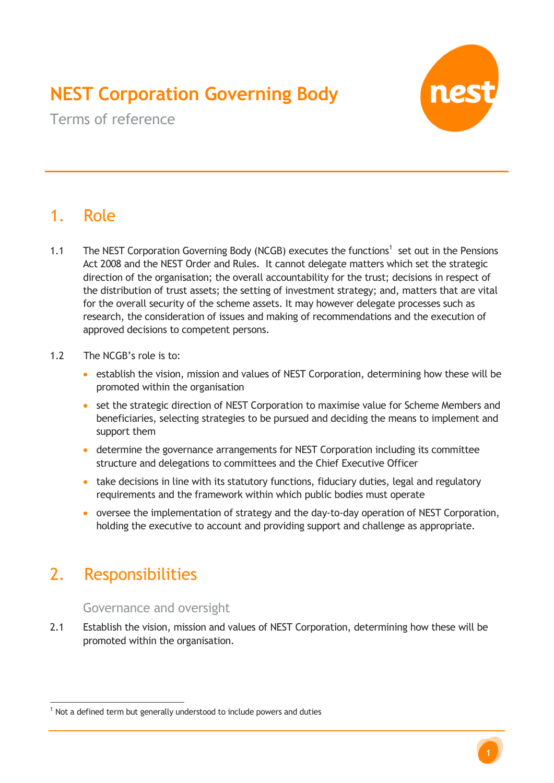# **NEST Corporation Governing Body**



Terms of reference

## 1. Role

- 1.1 The NEST Corporation Governing Body (NCGB) executes the functions<sup>1</sup> set out in the Pensions Act 2008 and the NEST Order and Rules. It cannot delegate matters which set the strategic direction of the organisation; the overall accountability for the trust; decisions in respect of the distribution of trust assets; the setting of investment strategy; and, matters that are vital for the overall security of the scheme assets. It may however delegate processes such as research, the consideration of issues and making of recommendations and the execution of approved decisions to competent persons.
- 1.2 The NCGB's role is to:
	- establish the vision, mission and values of NEST Corporation, determining how these will be promoted within the organisation
	- set the strategic direction of NEST Corporation to maximise value for Scheme Members and beneficiaries, selecting strategies to be pursued and deciding the means to implement and support them
	- determine the governance arrangements for NEST Corporation including its committee structure and delegations to committees and the Chief Executive Officer
	- take decisions in line with its statutory functions, fiduciary duties, legal and regulatory requirements and the framework within which public bodies must operate
	- oversee the implementation of strategy and the day-to-day operation of NEST Corporation, holding the executive to account and providing support and challenge as appropriate.

## 2. Responsibilities

 $\overline{a}$ 

#### Governance and oversight

2.1 Establish the vision, mission and values of NEST Corporation, determining how these will be promoted within the organisation.

 $1$  Not a defined term but generally understood to include powers and duties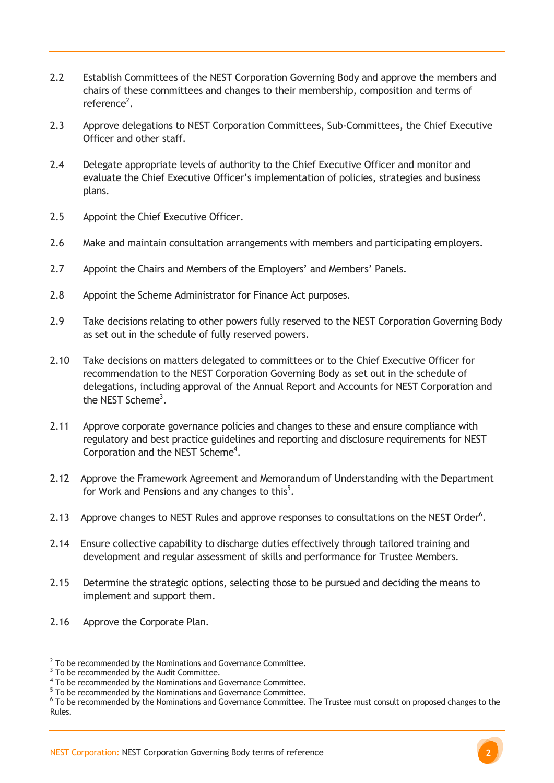- 2.2 Establish Committees of the NEST Corporation Governing Body and approve the members and chairs of these committees and changes to their membership, composition and terms of reference<sup>2</sup>.
- 2.3 Approve delegations to NEST Corporation Committees, Sub-Committees, the Chief Executive Officer and other staff.
- 2.4 Delegate appropriate levels of authority to the Chief Executive Officer and monitor and evaluate the Chief Executive Officer's implementation of policies, strategies and business plans.
- 2.5 Appoint the Chief Executive Officer.
- 2.6 Make and maintain consultation arrangements with members and participating employers.
- 2.7 Appoint the Chairs and Members of the Employers' and Members' Panels.
- 2.8 Appoint the Scheme Administrator for Finance Act purposes.
- 2.9 Take decisions relating to other powers fully reserved to the NEST Corporation Governing Body as set out in the schedule of fully reserved powers.
- 2.10 Take decisions on matters delegated to committees or to the Chief Executive Officer for recommendation to the NEST Corporation Governing Body as set out in the schedule of delegations, including approval of the Annual Report and Accounts for NEST Corporation and the NEST Scheme<sup>3</sup>.
- 2.11 Approve corporate governance policies and changes to these and ensure compliance with regulatory and best practice guidelines and reporting and disclosure requirements for NEST Corporation and the NEST Scheme<sup>4</sup>.
- 2.12 Approve the Framework Agreement and Memorandum of Understanding with the Department for Work and Pensions and any changes to this<sup>5</sup>.
- 2.13 Approve changes to NEST Rules and approve responses to consultations on the NEST Order<sup>6</sup>.
- 2.14 Ensure collective capability to discharge duties effectively through tailored training and development and regular assessment of skills and performance for Trustee Members.
- 2.15 Determine the strategic options, selecting those to be pursued and deciding the means to implement and support them.
- 2.16 Approve the Corporate Plan.

**EXECUTE 2**<br>To be recommended by the Nominations and Governance Committee.

 $3$  To be recommended by the Audit Committee.

<sup>&</sup>lt;sup>4</sup> To be recommended by the Nominations and Governance Committee.

<sup>&</sup>lt;sup>5</sup> To be recommended by the Nominations and Governance Committee.

<sup>&</sup>lt;sup>6</sup> To be recommended by the Nominations and Governance Committee. The Trustee must consult on proposed changes to the Rules.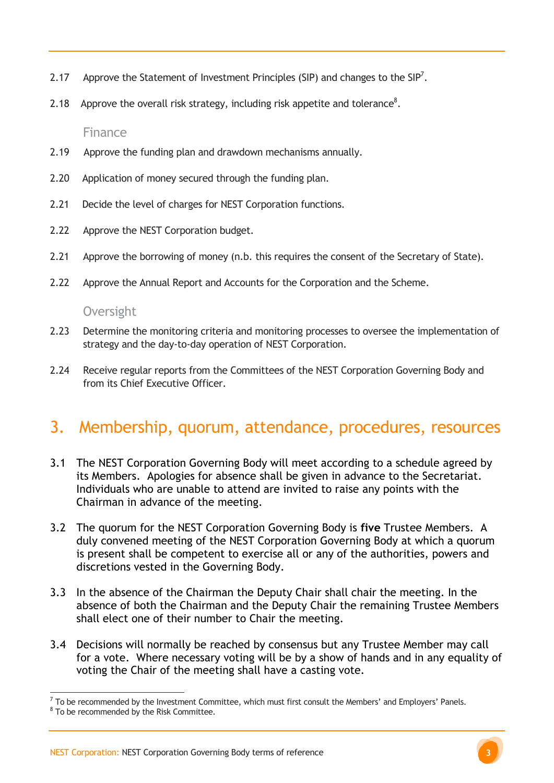- 2.17 Approve the Statement of Investment Principles (SIP) and changes to the SIP<sup>7</sup>.
- 2.18 Approve the overall risk strategy, including risk appetite and tolerance<sup>8</sup>.

Finance

- 2.19 Approve the funding plan and drawdown mechanisms annually.
- 2.20 Application of money secured through the funding plan.
- 2.21 Decide the level of charges for NEST Corporation functions.
- 2.22 Approve the NEST Corporation budget.
- 2.21 Approve the borrowing of money (n.b. this requires the consent of the Secretary of State).
- 2.22 Approve the Annual Report and Accounts for the Corporation and the Scheme.

#### **Oversight**

- 2.23 Determine the monitoring criteria and monitoring processes to oversee the implementation of strategy and the day-to-day operation of NEST Corporation.
- 2.24 Receive regular reports from the Committees of the NEST Corporation Governing Body and from its Chief Executive Officer.

### 3. Membership, quorum, attendance, procedures, resources

- 3.1 The NEST Corporation Governing Body will meet according to a schedule agreed by its Members. Apologies for absence shall be given in advance to the Secretariat. Individuals who are unable to attend are invited to raise any points with the Chairman in advance of the meeting.
- 3.2 The quorum for the NEST Corporation Governing Body is **five** Trustee Members. A duly convened meeting of the NEST Corporation Governing Body at which a quorum is present shall be competent to exercise all or any of the authorities, powers and discretions vested in the Governing Body.
- 3.3 In the absence of the Chairman the Deputy Chair shall chair the meeting. In the absence of both the Chairman and the Deputy Chair the remaining Trustee Members shall elect one of their number to Chair the meeting.
- 3.4 Decisions will normally be reached by consensus but any Trustee Member may call for a vote. Where necessary voting will be by a show of hands and in any equality of voting the Chair of the meeting shall have a casting vote.

 $\overline{a}$ 

 $^7$  To be recommended by the Investment Committee, which must first consult the Members' and Employers' Panels.

<sup>&</sup>lt;sup>8</sup> To be recommended by the Risk Committee.